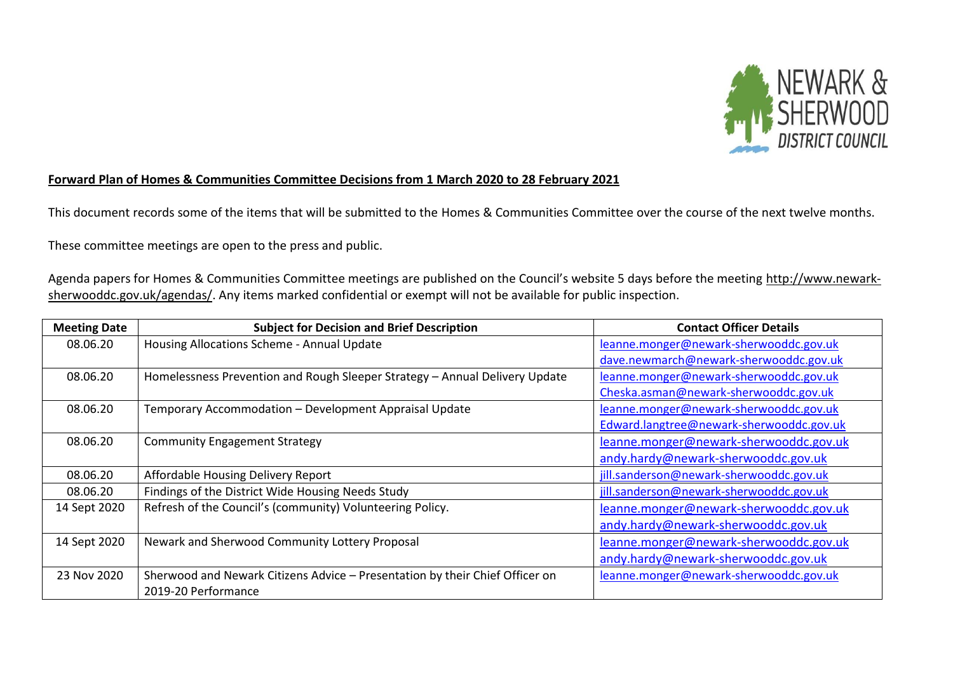

## **Forward Plan of Homes & Communities Committee Decisions from 1 March 2020 to 28 February 2021**

This document records some of the items that will be submitted to the Homes & Communities Committee over the course of the next twelve months.

These committee meetings are open to the press and public.

Agenda papers for Homes & Communities Committee meetings are published on the Council's website 5 days before the meeting [http://www.newark](http://www.newark-sherwooddc.gov.uk/agendas/)[sherwooddc.gov.uk/agendas/.](http://www.newark-sherwooddc.gov.uk/agendas/) Any items marked confidential or exempt will not be available for public inspection.

| <b>Meeting Date</b> | <b>Subject for Decision and Brief Description</b>                            | <b>Contact Officer Details</b>           |
|---------------------|------------------------------------------------------------------------------|------------------------------------------|
| 08.06.20            | Housing Allocations Scheme - Annual Update                                   | leanne.monger@newark-sherwooddc.gov.uk   |
|                     |                                                                              | dave.newmarch@newark-sherwooddc.gov.uk   |
| 08.06.20            | Homelessness Prevention and Rough Sleeper Strategy - Annual Delivery Update  | leanne.monger@newark-sherwooddc.gov.uk   |
|                     |                                                                              | Cheska.asman@newark-sherwooddc.gov.uk    |
| 08.06.20            | Temporary Accommodation - Development Appraisal Update                       | leanne.monger@newark-sherwooddc.gov.uk   |
|                     |                                                                              | Edward.langtree@newark-sherwooddc.gov.uk |
| 08.06.20            | <b>Community Engagement Strategy</b>                                         | leanne.monger@newark-sherwooddc.gov.uk   |
|                     |                                                                              | andy.hardy@newark-sherwooddc.gov.uk      |
| 08.06.20            | Affordable Housing Delivery Report                                           | jill.sanderson@newark-sherwooddc.gov.uk  |
| 08.06.20            | Findings of the District Wide Housing Needs Study                            | jill.sanderson@newark-sherwooddc.gov.uk  |
| 14 Sept 2020        | Refresh of the Council's (community) Volunteering Policy.                    | leanne.monger@newark-sherwooddc.gov.uk   |
|                     |                                                                              | andy.hardy@newark-sherwooddc.gov.uk      |
| 14 Sept 2020        | Newark and Sherwood Community Lottery Proposal                               | leanne.monger@newark-sherwooddc.gov.uk   |
|                     |                                                                              | andy.hardy@newark-sherwooddc.gov.uk      |
| 23 Nov 2020         | Sherwood and Newark Citizens Advice - Presentation by their Chief Officer on | leanne.monger@newark-sherwooddc.gov.uk   |
|                     | 2019-20 Performance                                                          |                                          |